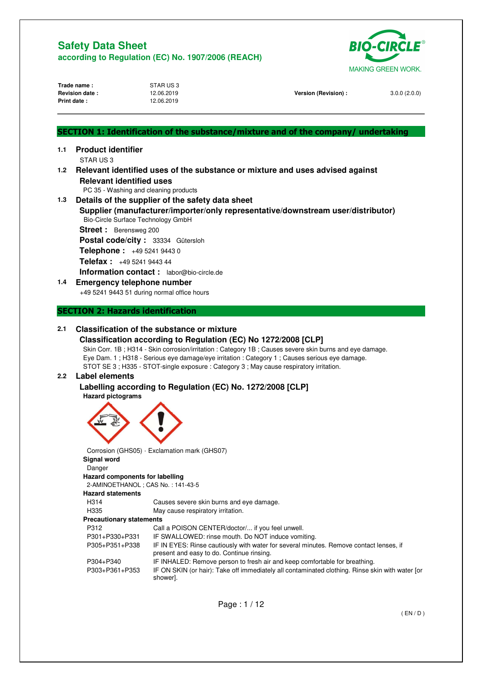

| Trade name:<br><b>Revision date:</b><br>Print date: |                              | STAR US3<br>12.06.2019<br>12.06.2019             | Version (Revision) :                                                               | 3.0.0(2.0.0) |
|-----------------------------------------------------|------------------------------|--------------------------------------------------|------------------------------------------------------------------------------------|--------------|
|                                                     |                              |                                                  | SECTION 1: Identification of the substance/mixture and of the company/ undertaking |              |
| 1.1                                                 | <b>Product identifier</b>    |                                                  |                                                                                    |              |
|                                                     | STAR US3                     |                                                  |                                                                                    |              |
| 1.2 <sub>1</sub>                                    |                              |                                                  | Relevant identified uses of the substance or mixture and uses advised against      |              |
|                                                     |                              | <b>Relevant identified uses</b>                  |                                                                                    |              |
| 1.3                                                 |                              | PC 35 - Washing and cleaning products            |                                                                                    |              |
|                                                     |                              | Details of the supplier of the safety data sheet |                                                                                    |              |
|                                                     |                              | Bio-Circle Surface Technology GmbH               | Supplier (manufacturer/importer/only representative/downstream user/distributor)   |              |
|                                                     | <b>Street:</b> Berensweg 200 |                                                  |                                                                                    |              |
|                                                     |                              | Postal code/city: 33334 Gütersloh                |                                                                                    |              |
|                                                     |                              | Telephone: +49 5241 9443 0                       |                                                                                    |              |
|                                                     |                              | <b>Telefax:</b> $+495241944344$                  |                                                                                    |              |
|                                                     |                              | Information contact: labor@bio-circle.de         |                                                                                    |              |
| 1.4                                                 |                              | <b>Emergency telephone number</b>                |                                                                                    |              |
|                                                     |                              | +49 5241 9443 51 during normal office hours      |                                                                                    |              |

## **SECTION 2: Hazards identification**

## **2.1 Classification of the substance or mixture**

#### **Classification according to Regulation (EC) No 1272/2008 [CLP]**  Skin Corr. 1B ; H314 - Skin corrosion/irritation : Category 1B ; Causes severe skin burns and eye damage. Eye Dam. 1 ; H318 - Serious eye damage/eye irritation : Category 1 ; Causes serious eye damage. STOT SE 3 ; H335 - STOT-single exposure : Category 3 ; May cause respiratory irritation.

## **2.2 Label elements**

**Labelling according to Regulation (EC) No. 1272/2008 [CLP]** 

### **Hazard pictograms**



 Corrosion (GHS05) · Exclamation mark (GHS07) **Signal word**  Danger **Hazard components for labelling**  2-AMINOETHANOL ; CAS No. : 141-43-5 **Hazard statements**  H314 Causes severe skin burns and eye damage. H335 May cause respiratory irritation. **Precautionary statements**  P312 Call a POISON CENTER/doctor/... if you feel unwell. P301+P330+P331 IF SWALLOWED: rinse mouth. Do NOT induce vomiting. P305+P351+P338 IF IN EYES: Rinse cautiously with water for several minutes. Remove contact lenses, if present and easy to do. Continue rinsing. P304+P340 IF INHALED: Remove person to fresh air and keep comfortable for breathing. P303+P361+P353 IF ON SKIN (or hair): Take off immediately all contaminated clothing. Rinse skin with water [or shower].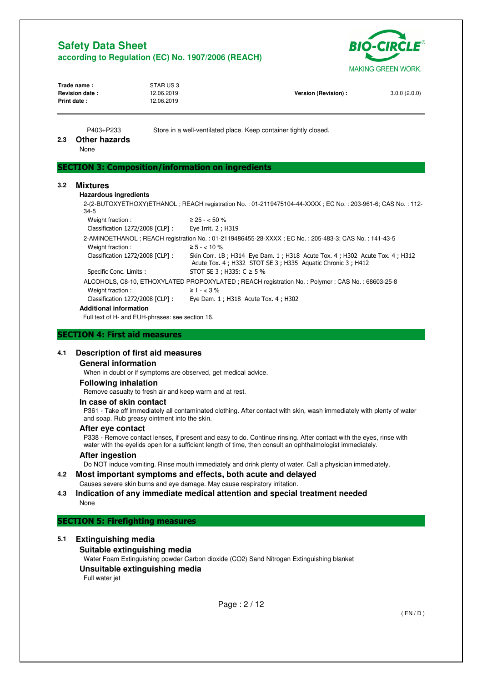

| Trade name:<br><b>Revision date:</b><br>Print date: |                                                           | STAR US3<br>12.06.2019<br>12.06.2019 | Version (Revision) :                                                                                                                     | 3.0.0(2.0.0) |
|-----------------------------------------------------|-----------------------------------------------------------|--------------------------------------|------------------------------------------------------------------------------------------------------------------------------------------|--------------|
| 2.3                                                 | P403+P233<br><b>Other hazards</b><br>None                 |                                      | Store in a well-ventilated place. Keep container tightly closed.                                                                         |              |
|                                                     | <b>SECTION 3: Composition/information on ingredients</b>  |                                      |                                                                                                                                          |              |
| 3.2                                                 | <b>Mixtures</b><br><b>Hazardous ingredients</b><br>$34-5$ |                                      | 2-(2-BUTOXYETHOXY)ETHANOL: REACH registration No.: 01-2119475104-44-XXXX: EC No.: 203-961-6; CAS No.: 112-                               |              |
|                                                     | Weight fraction:                                          | $\geq$ 25 - < 50 %                   |                                                                                                                                          |              |
|                                                     | Classification 1272/2008 [CLP] :                          | Eye Irrit. 2 ; H319                  |                                                                                                                                          |              |
|                                                     |                                                           |                                      | 2-AMINOETHANOL; REACH registration No.: 01-2119486455-28-XXXX; EC No.: 205-483-3; CAS No.: 141-43-5                                      |              |
|                                                     | Weight fraction:                                          | $\geq 5 - < 10 \%$                   |                                                                                                                                          |              |
|                                                     | Classification 1272/2008 [CLP] :                          |                                      | Skin Corr. 1B; H314 Eye Dam. 1; H318 Acute Tox. 4; H302 Acute Tox. 4; H312<br>Acute Tox. 4; H332 STOT SE 3; H335 Aquatic Chronic 3; H412 |              |
|                                                     | Specific Conc. Limits :                                   |                                      | STOT SE 3 ; H335: $C \ge 5$ %                                                                                                            |              |
|                                                     |                                                           |                                      | ALCOHOLS, C8-10, ETHOXYLATED PROPOXYLATED; REACH registration No.: Polymer; CAS No.: 68603-25-8                                          |              |
|                                                     | Weight fraction:                                          | $\geq 1 - < 3\%$                     |                                                                                                                                          |              |
|                                                     | Classification 1272/2008 [CLP] :                          |                                      | Eye Dam. 1 ; H318 Acute Tox. 4 ; H302                                                                                                    |              |
|                                                     | <b>Additional information</b>                             |                                      |                                                                                                                                          |              |

Full text of H- and EUH-phrases: see section 16.

### **SECTION 4: First aid measures**

### **4.1 Description of first aid measures**

#### **General information**

When in doubt or if symptoms are observed, get medical advice.

#### **Following inhalation**

Remove casualty to fresh air and keep warm and at rest.

#### **In case of skin contact**

P361 - Take off immediately all contaminated clothing. After contact with skin, wash immediately with plenty of water and soap. Rub greasy ointment into the skin.

#### **After eye contact**

P338 - Remove contact lenses, if present and easy to do. Continue rinsing. After contact with the eyes, rinse with water with the eyelids open for a sufficient length of time, then consult an ophthalmologist immediately.

### **After ingestion**

Do NOT induce vomiting. Rinse mouth immediately and drink plenty of water. Call a physician immediately.

#### **4.2 Most important symptoms and effects, both acute and delayed**  Causes severe skin burns and eye damage. May cause respiratory irritation.

#### **4.3 Indication of any immediate medical attention and special treatment needed**  None

### **SECTION 5: Firefighting measures**

## **5.1 Extinguishing media**

**Suitable extinguishing media**  Water Foam Extinguishing powder Carbon dioxide (CO2) Sand Nitrogen Extinguishing blanket

## **Unsuitable extinguishing media**

Full water jet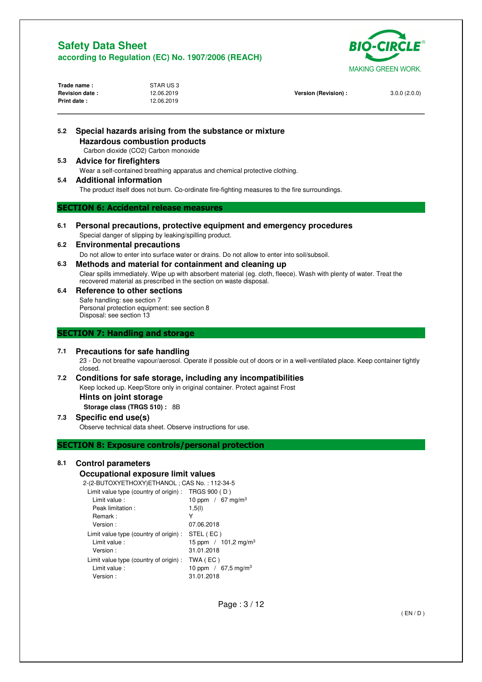

| Trade name:           | STAR US 3  |                      |              |
|-----------------------|------------|----------------------|--------------|
| <b>Revision date:</b> | 12.06.2019 | Version (Revision) : | 3.0.0(2.0.0) |
| <b>Print date:</b>    | 12.06.2019 |                      |              |
|                       |            |                      |              |
|                       |            |                      |              |

| 5.2 | Special hazards arising from the substance or mixture<br><b>Hazardous combustion products</b><br>Carbon dioxide (CO2) Carbon monoxide                                                     |  |
|-----|-------------------------------------------------------------------------------------------------------------------------------------------------------------------------------------------|--|
| 5.3 | <b>Advice for firefighters</b>                                                                                                                                                            |  |
|     | Wear a self-contained breathing apparatus and chemical protective clothing.                                                                                                               |  |
| 5.4 | <b>Additional information</b>                                                                                                                                                             |  |
|     | The product itself does not burn. Co-ordinate fire-fighting measures to the fire surroundings.                                                                                            |  |
|     | <b>SECTION 6: Accidental release measures</b>                                                                                                                                             |  |
| 6.1 | Personal precautions, protective equipment and emergency procedures                                                                                                                       |  |
|     | Special danger of slipping by leaking/spilling product.                                                                                                                                   |  |
| 6.2 | <b>Environmental precautions</b>                                                                                                                                                          |  |
|     | Do not allow to enter into surface water or drains. Do not allow to enter into soil/subsoil.                                                                                              |  |
| 6.3 | Methods and material for containment and cleaning up                                                                                                                                      |  |
|     | Clear spills immediately. Wipe up with absorbent material (eg. cloth, fleece). Wash with plenty of water. Treat the<br>recovered material as prescribed in the section on waste disposal. |  |
| 6.4 | Reference to other sections                                                                                                                                                               |  |
|     | Safe handling: see section 7                                                                                                                                                              |  |
|     | Personal protection equipment: see section 8<br>Disposal: see section 13                                                                                                                  |  |
|     |                                                                                                                                                                                           |  |
|     | <b>SECTION 7: Handling and storage</b>                                                                                                                                                    |  |
|     |                                                                                                                                                                                           |  |
| 7.1 | <b>Precautions for safe handling</b>                                                                                                                                                      |  |
|     | 23 - Do not breathe vapour/aerosol. Operate if possible out of doors or in a well-ventilated place. Keep container tightly<br>closed.                                                     |  |
| 7.2 | Conditions for safe storage, including any incompatibilities                                                                                                                              |  |
|     | Keep locked up. Keep/Store only in original container. Protect against Frost                                                                                                              |  |
|     | Hints on joint storage                                                                                                                                                                    |  |
|     | Storage class (TRGS 510): 8B                                                                                                                                                              |  |
| 7.3 | Specific end use(s)                                                                                                                                                                       |  |
|     | Observe technical data sheet. Observe instructions for use.                                                                                                                               |  |
|     |                                                                                                                                                                                           |  |
|     | <b>SECTION 8: Exposure controls/personal protection</b>                                                                                                                                   |  |
| 8.1 | <b>Control parameters</b>                                                                                                                                                                 |  |
|     | Occupational exposure limit values                                                                                                                                                        |  |
|     | 2-(2-BUTOXYETHOXY)ETHANOL; CAS No.: 112-34-5                                                                                                                                              |  |
|     | Limit value type (country of origin): $TRGS 900 (D)$                                                                                                                                      |  |
|     | Limit value :<br>10 ppm / $67 \text{ mg/m}^3$                                                                                                                                             |  |
|     | Peak limitation :<br>1,5(l)                                                                                                                                                               |  |
|     | Y<br>Remark:<br>Version:<br>07.06.2018                                                                                                                                                    |  |
|     |                                                                                                                                                                                           |  |
|     |                                                                                                                                                                                           |  |
|     | Limit value type (country of origin) :<br>STEL (EC)                                                                                                                                       |  |
|     | 15 ppm / $101,2$ mg/m <sup>3</sup><br>Limit value :<br>Version:<br>31.01.2018                                                                                                             |  |

Limit value : 10 ppm / 67,5 mg/m<sup>3</sup> Version : 31.01.2018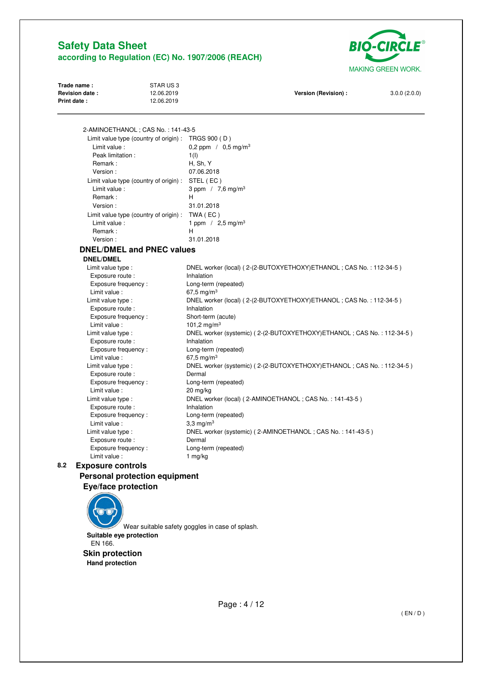

| Trade name:           | STAR US 3  |                      |              |
|-----------------------|------------|----------------------|--------------|
| <b>Revision date:</b> | 12.06.2019 | Version (Revision) : | 3.0.0(2.0.0) |
| <b>Print date:</b>    | 12.06.2019 |                      |              |
|                       |            |                      |              |
|                       |            |                      |              |

 2-AMINOETHANOL ; CAS No. : 141-43-5 Limit value type (country of origin) : TRGS 900 ( D ) Limit value :  $0,2$  ppm  $/ 0,5$  mg/m<sup>3</sup> Peak limitation : 1(I) Remark : H, Sh, Y Version : 07.06.2018 Limit value type (country of origin) : STEL ( EC ) Limit value :  $3 ppm / 7,6 mg/m<sup>3</sup>$ Remark : H Version : 31.01.2018 Limit value type (country of origin) : TWA ( EC ) Limit value :  $1 ppm / 2,5 mg/m<sup>3</sup>$ Remark : H Version : 31.01.2018

## **DNEL/DMEL and PNEC values**

### **DNEL/DMEL**

Limit value type : DNEL worker (local) ( 2-(2-BUTOXYETHOXY)ETHANOL ; CAS No. : 112-34-5 ) Exposure route : Inhalation Exposure frequency : Long-term (repeated) Limit value :  $67.5 \text{ mg/m}^3$ Limit value type : DNEL worker (local) ( 2-(2-BUTOXYETHOXY)ETHANOL ; CAS No. : 112-34-5 ) Exposure route : Inhalation Exposure frequency : Short-term (acute) Limit value :  $101,2 \text{ mg/m}^3$ Limit value type : <br>
DNEL worker (systemic) ( 2-(2-BUTOXYETHOXY) ETHANOL ; CAS No. : 112-34-5 ) Exposure route : Inhalation Exposure frequency : Long-term (repeated) Limit value : 67,5 mg/m<sup>3</sup> Limit value type : DNEL worker (systemic) ( 2-(2-BUTOXYETHOXY)ETHANOL ; CAS No. : 112-34-5 ) Exposure route : Dermal Exposure frequency : Long-term (repeated) Limit value : 20 mg/kg Limit value type : DNEL worker (local) ( 2-AMINOETHANOL ; CAS No. : 141-43-5 ) Exposure route : Inhalation Exposure frequency : Long-term (repeated) Limit value :  $3.3 \text{ mg/m}^3$  Limit value type : DNEL worker (systemic) ( 2-AMINOETHANOL ; CAS No. : 141-43-5 ) Exposure route : Dermal Exposure frequency : Long-term (repeated) Limit value : 1 mg/kg

## **8.2 Exposure controls Personal protection equipment**

**Eye/face protection** 

Wear suitable safety goggles in case of splash. **Suitable eye protection**  EN 166.

 **Skin protection Hand protection**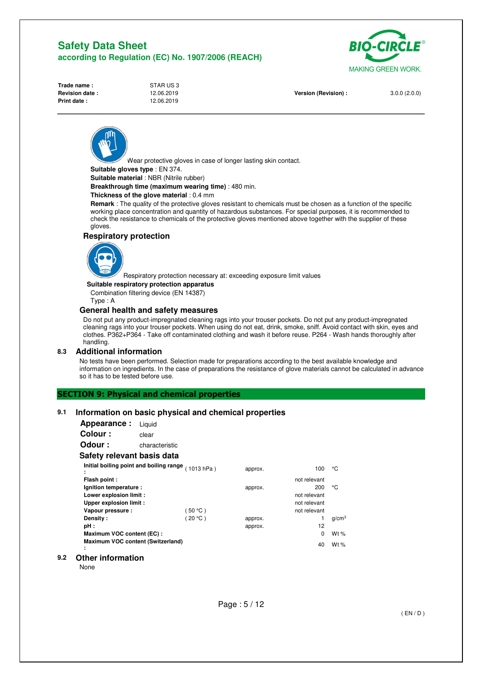

| Trade name :       |  |
|--------------------|--|
| Revision date:     |  |
| <b>Print date:</b> |  |

**STAR US 3**<br>12.06.2019 **Print date :** 12.06.2019

**Version (Revision) :** 3.0.0 (2.0.0)

Wear protective gloves in case of longer lasting skin contact.

**Suitable gloves type** : EN 374.

**Suitable material** : NBR (Nitrile rubber)

**Breakthrough time (maximum wearing time)** : 480 min.

#### **Thickness of the glove material** : 0.4 mm

**Remark** : The quality of the protective gloves resistant to chemicals must be chosen as a function of the specific working place concentration and quantity of hazardous substances. For special purposes, it is recommended to check the resistance to chemicals of the protective gloves mentioned above together with the supplier of these gloves.

#### **Respiratory protection**



Respiratory protection necessary at: exceeding exposure limit values

**Suitable respiratory protection apparatus** 

Combination filtering device (EN 14387)

Type : A

#### **General health and safety measures**

Do not put any product-impregnated cleaning rags into your trouser pockets. Do not put any product-impregnated cleaning rags into your trouser pockets. When using do not eat, drink, smoke, sniff. Avoid contact with skin, eyes and clothes. P362+P364 - Take off contaminated clothing and wash it before reuse. P264 - Wash hands thoroughly after handling.

#### **8.3 Additional information**

No tests have been performed. Selection made for preparations according to the best available knowledge and information on ingredients. In the case of preparations the resistance of glove materials cannot be calculated in advance so it has to be tested before use.

### **SECTION 9: Physical and chemical properties**

### **9.1 Information on basic physical and chemical properties**

| Appearance:                            | Liquid                                             |          |         |              |                   |
|----------------------------------------|----------------------------------------------------|----------|---------|--------------|-------------------|
| Colour:                                | clear                                              |          |         |              |                   |
| Odour :                                | characteristic                                     |          |         |              |                   |
| Safety relevant basis data             |                                                    |          |         |              |                   |
| ٠                                      | Initial boiling point and boiling range (1013 hPa) |          | approx. | 100          | ۰c                |
| ٠<br>Flash point :                     |                                                    |          |         | not relevant |                   |
| Ignition temperature :                 |                                                    |          | approx. | 200          | ۰c                |
| Lower explosion limit :                |                                                    |          |         | not relevant |                   |
| Upper explosion limit :                |                                                    |          |         | not relevant |                   |
| Vapour pressure :                      |                                                    | (50 °C ) |         | not relevant |                   |
| Density:                               |                                                    | 20 °C)   | approx. |              | q/cm <sup>3</sup> |
| pH :                                   |                                                    |          | approx. | 12           |                   |
| Maximum VOC content (EC):              |                                                    |          |         | 0            | Wt $%$            |
| Maximum VOC content (Switzerland)<br>٠ |                                                    |          |         | 40           | Wt $%$            |

#### **9.2 Other information**

**None**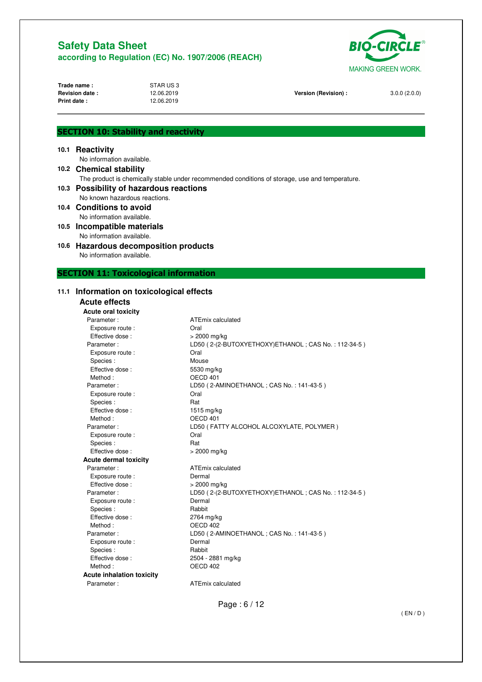

| Trade name:<br>Revision date:<br><b>Print date:</b> | STAR US3<br>12.06.2019<br>12.06.2019 | Version (Revision) :                                                                           | 3.0.0(2.0.0) |
|-----------------------------------------------------|--------------------------------------|------------------------------------------------------------------------------------------------|--------------|
| <b>SECTION 10: Stability and reactivity</b>         |                                      |                                                                                                |              |
| 10.1 Reactivity                                     |                                      |                                                                                                |              |
| No information available.                           |                                      |                                                                                                |              |
| 10.2 Chemical stability                             |                                      |                                                                                                |              |
|                                                     |                                      | The product is chemically stable under recommended conditions of storage, use and temperature. |              |
| 10.3 Possibility of hazardous reactions             |                                      |                                                                                                |              |
|                                                     | No known hazardous reactions.        |                                                                                                |              |
| 10.4 Conditions to avoid                            |                                      |                                                                                                |              |
| No information available.                           |                                      |                                                                                                |              |
| 10.5 Incompatible materials                         |                                      |                                                                                                |              |
| No information available.                           |                                      |                                                                                                |              |
| 10.6 Hazardous decomposition products               |                                      |                                                                                                |              |
| No information available.                           |                                      |                                                                                                |              |
|                                                     |                                      |                                                                                                |              |
| <b>SECTION 11: Toxicological information</b>        |                                      |                                                                                                |              |
|                                                     |                                      |                                                                                                |              |
| 11.1 Information on toxicological effects           |                                      |                                                                                                |              |
| <b>Acute effects</b>                                |                                      |                                                                                                |              |
| <b>Acute oral toxicity</b>                          |                                      |                                                                                                |              |
| Parameter:                                          |                                      | ATEmix calculated                                                                              |              |
| Exposure route :                                    |                                      | Oral                                                                                           |              |
| Effective dose:                                     |                                      | > 2000 mg/kg                                                                                   |              |
| Parameter:                                          |                                      | LD50 (2-(2-BUTOXYETHOXY)ETHANOL; CAS No.: 112-34-5)                                            |              |
| Exposure route :                                    |                                      | Oral                                                                                           |              |
| Species:                                            |                                      | Mouse                                                                                          |              |
| Effective dose:                                     |                                      | 5530 mg/kg                                                                                     |              |
| Method:                                             |                                      | OECD 401                                                                                       |              |
| Parameter:                                          |                                      | LD50 (2-AMINOETHANOL; CAS No.: 141-43-5)                                                       |              |
| Exposure route :                                    |                                      | Oral                                                                                           |              |
| Species:                                            |                                      | Rat<br>1515 mg/kg                                                                              |              |
| Effective dose:<br>Method:                          |                                      | OECD 401                                                                                       |              |
| Parameter:                                          |                                      | LD50 (FATTY ALCOHOL ALCOXYLATE, POLYMER)                                                       |              |
| Exposure route :                                    |                                      | Oral                                                                                           |              |
| Species:                                            |                                      | Hat                                                                                            |              |
| Effective dose:                                     |                                      | > 2000 mg/kg                                                                                   |              |
| <b>Acute dermal toxicity</b>                        |                                      |                                                                                                |              |
| Parameter:                                          |                                      | ATEmix calculated                                                                              |              |
| Exposure route :                                    |                                      | Dermal                                                                                         |              |
| Effective dose:                                     |                                      | > 2000 mg/kg                                                                                   |              |
| Parameter:                                          |                                      | LD50 (2-(2-BUTOXYETHOXY)ETHANOL; CAS No.: 112-34-5)                                            |              |
| Exposure route :                                    |                                      | Dermal                                                                                         |              |
| Species:                                            |                                      | Rabbit                                                                                         |              |
| Effective dose:                                     |                                      | 2764 mg/kg                                                                                     |              |
| Method:                                             |                                      | OECD 402                                                                                       |              |

Page : 6 / 12

Parameter : LD50 ( 2-AMINOETHANOL ; CAS No. : 141-43-5 )

2504 - 2881 mg/kg

Exposure route : Dermal Species : Rabbit<br>
Effective dose : 2504 -

**Acute inhalation toxicity** 

Method : CONTROLL CONTROLL CONTROLL OF A 2021

Parameter : **ATEmix calculated** 

( EN / D )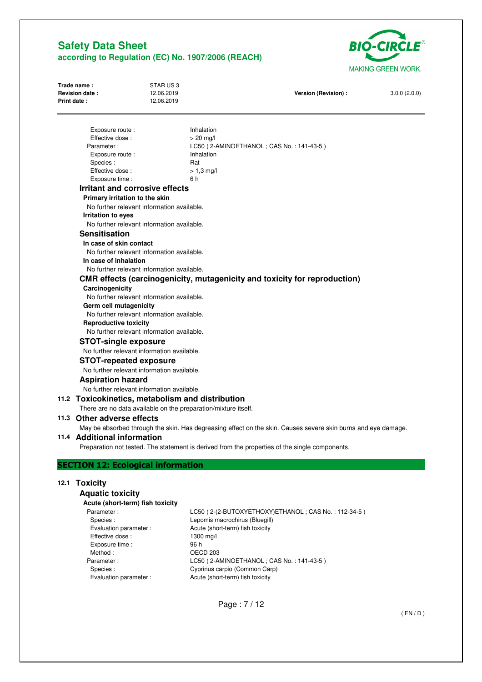

| Trade name:           | STAR US 3  |                      |              |
|-----------------------|------------|----------------------|--------------|
| <b>Revision date:</b> | 12.06.2019 | Version (Revision) : | 3.0.0(2.0.0) |
| <b>Print date:</b>    | 12.06.2019 |                      |              |
|                       |            |                      |              |
|                       |            |                      |              |

| Exposure route :                                               | Inhalation                                                                                                    |
|----------------------------------------------------------------|---------------------------------------------------------------------------------------------------------------|
| Effective dose:                                                | $>$ 20 mg/l                                                                                                   |
| Parameter:                                                     | LC50 (2-AMINOETHANOL; CAS No.: 141-43-5)                                                                      |
| Exposure route :                                               | Inhalation                                                                                                    |
| Species:                                                       | Rat                                                                                                           |
| Effective dose:                                                | $> 1.3$ mg/l                                                                                                  |
| Exposure time :                                                | 6 h                                                                                                           |
| Irritant and corrosive effects                                 |                                                                                                               |
| Primary irritation to the skin                                 |                                                                                                               |
| No further relevant information available.                     |                                                                                                               |
| Irritation to eyes                                             |                                                                                                               |
| No further relevant information available.                     |                                                                                                               |
| <b>Sensitisation</b>                                           |                                                                                                               |
| In case of skin contact                                        |                                                                                                               |
| No further relevant information available.                     |                                                                                                               |
| In case of inhalation                                          |                                                                                                               |
| No further relevant information available.                     |                                                                                                               |
|                                                                | CMR effects (carcinogenicity, mutagenicity and toxicity for reproduction)                                     |
| Carcinogenicity                                                |                                                                                                               |
| No further relevant information available.                     |                                                                                                               |
| Germ cell mutagenicity                                         |                                                                                                               |
| No further relevant information available.                     |                                                                                                               |
| <b>Reproductive toxicity</b>                                   |                                                                                                               |
| No further relevant information available.                     |                                                                                                               |
| <b>STOT-single exposure</b>                                    |                                                                                                               |
| No further relevant information available.                     |                                                                                                               |
| <b>STOT-repeated exposure</b>                                  |                                                                                                               |
| No further relevant information available.                     |                                                                                                               |
| <b>Aspiration hazard</b>                                       |                                                                                                               |
| No further relevant information available.                     |                                                                                                               |
| 11.2 Toxicokinetics, metabolism and distribution               |                                                                                                               |
| There are no data available on the preparation/mixture itself. |                                                                                                               |
|                                                                |                                                                                                               |
| 11.3 Other adverse effects                                     |                                                                                                               |
|                                                                | May be absorbed through the skin. Has degreasing effect on the skin. Causes severe skin burns and eye damage. |
| 11.4 Additional information                                    |                                                                                                               |
|                                                                | Preparation not tested. The statement is derived from the properties of the single components.                |
| <b>SECTION 12: Ecological information</b>                      |                                                                                                               |
|                                                                |                                                                                                               |
| 12.1 Toxicity                                                  |                                                                                                               |
|                                                                |                                                                                                               |

## **Aquatic toxicity**

| Acute (short-term) fish toxicity |                                                     |
|----------------------------------|-----------------------------------------------------|
| Parameter:                       | LC50 (2-(2-BUTOXYETHOXY)ETHANOL; CAS No.: 112-34-5) |
| Species:                         | Lepomis macrochirus (Bluegill)                      |
| Evaluation parameter :           | Acute (short-term) fish toxicity                    |
| Effective dose:                  | 1300 mg/l                                           |
| Exposure time :                  | 96 h                                                |
| Method:                          | OECD 203                                            |
| Parameter:                       | LC50 (2-AMINOETHANOL; CAS No.: 141-43-5)            |
| Species:                         | Cyprinus carpio (Common Carp)                       |
| Evaluation parameter :           | Acute (short-term) fish toxicity                    |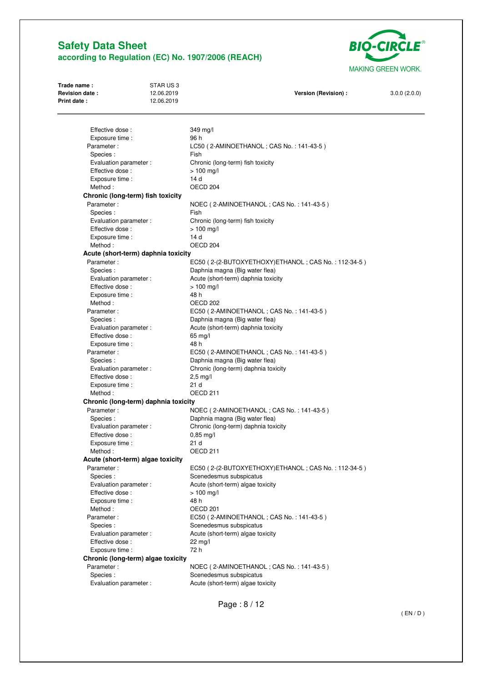

| Trade name:<br>Revision date:<br>Print date: | STARUS3<br>12.06.2019<br>12.06.2019  | Version (Revision) :                                                | 3.0.0(2.0.0) |
|----------------------------------------------|--------------------------------------|---------------------------------------------------------------------|--------------|
|                                              |                                      |                                                                     |              |
| Effective dose:                              |                                      | 349 mg/l                                                            |              |
| Exposure time :                              |                                      | 96 h                                                                |              |
| Parameter:                                   |                                      | LC50 (2-AMINOETHANOL; CAS No.: 141-43-5)                            |              |
| Species:                                     |                                      | Fish                                                                |              |
| Evaluation parameter :                       |                                      | Chronic (long-term) fish toxicity                                   |              |
| Effective dose:                              |                                      | $> 100$ mg/l                                                        |              |
| Exposure time :                              |                                      | 14 d                                                                |              |
| Method:                                      |                                      | OECD <sub>204</sub>                                                 |              |
|                                              | Chronic (long-term) fish toxicity    |                                                                     |              |
| Parameter:                                   |                                      | NOEC (2-AMINOETHANOL; CAS No.: 141-43-5)                            |              |
| Species:                                     |                                      | Fish                                                                |              |
| Evaluation parameter :                       |                                      | Chronic (long-term) fish toxicity                                   |              |
| Effective dose:                              |                                      | $> 100$ mg/l                                                        |              |
| Exposure time :                              |                                      | 14 d                                                                |              |
| Method:                                      |                                      | OECD <sub>204</sub>                                                 |              |
|                                              | Acute (short-term) daphnia toxicity  |                                                                     |              |
| Parameter:                                   |                                      | EC50 (2-(2-BUTOXYETHOXY)ETHANOL; CAS No.: 112-34-5)                 |              |
| Species:                                     |                                      | Daphnia magna (Big water flea)                                      |              |
| Evaluation parameter :                       |                                      | Acute (short-term) daphnia toxicity                                 |              |
| Effective dose:                              |                                      | $> 100$ mg/l                                                        |              |
| Exposure time :                              |                                      | 48 h                                                                |              |
| Method:                                      |                                      | OECD 202                                                            |              |
| Parameter:                                   |                                      | EC50 (2-AMINOETHANOL; CAS No.: 141-43-5)                            |              |
| Species:                                     |                                      | Daphnia magna (Big water flea)                                      |              |
| Evaluation parameter :                       |                                      | Acute (short-term) daphnia toxicity                                 |              |
| Effective dose:                              |                                      | 65 mg/l                                                             |              |
| Exposure time :                              |                                      | 48 h                                                                |              |
| Parameter:                                   |                                      | EC50 (2-AMINOETHANOL; CAS No.: 141-43-5)                            |              |
| Species:                                     |                                      | Daphnia magna (Big water flea)                                      |              |
| Evaluation parameter :                       |                                      | Chronic (long-term) daphnia toxicity                                |              |
| Effective dose:                              |                                      | $2,5$ mg/l                                                          |              |
| Exposure time :                              |                                      | 21 <sub>d</sub>                                                     |              |
| Method:                                      |                                      | OECD <sub>211</sub>                                                 |              |
|                                              | Chronic (long-term) daphnia toxicity |                                                                     |              |
| Parameter:                                   |                                      | NOEC (2-AMINOETHANOL; CAS No.: 141-43-5)                            |              |
| Species:                                     |                                      | Daphnia magna (Big water flea)                                      |              |
| Evaluation parameter :                       |                                      | Chronic (long-term) daphnia toxicity                                |              |
| Effective dose:                              |                                      | $0.85$ mg/l                                                         |              |
| Exposure time :                              |                                      | 21 d                                                                |              |
| Method:                                      |                                      | OECD 211                                                            |              |
|                                              | Acute (short-term) algae toxicity    |                                                                     |              |
| Parameter:                                   |                                      | EC50 (2-(2-BUTOXYETHOXY)ETHANOL; CAS No.: 112-34-5)                 |              |
| Species:                                     |                                      | Scenedesmus subspicatus                                             |              |
| Evaluation parameter :                       |                                      | Acute (short-term) algae toxicity                                   |              |
| Effective dose:                              |                                      | $> 100$ mg/l                                                        |              |
| Exposure time :                              |                                      | 48 h                                                                |              |
| Method:                                      |                                      | OECD <sub>201</sub>                                                 |              |
| Parameter:                                   |                                      | EC50 (2-AMINOETHANOL; CAS No.: 141-43-5)                            |              |
| Species:                                     |                                      | Scenedesmus subspicatus                                             |              |
| Evaluation parameter :                       |                                      | Acute (short-term) algae toxicity                                   |              |
| Effective dose:                              |                                      | 22 mg/l                                                             |              |
| Exposure time :                              |                                      | 72 h                                                                |              |
|                                              | Chronic (long-term) algae toxicity   |                                                                     |              |
|                                              |                                      |                                                                     |              |
|                                              |                                      |                                                                     |              |
| Parameter:<br>Species:                       |                                      | NOEC (2-AMINOETHANOL; CAS No.: 141-43-5)<br>Scenedesmus subspicatus |              |

Page : 8 / 12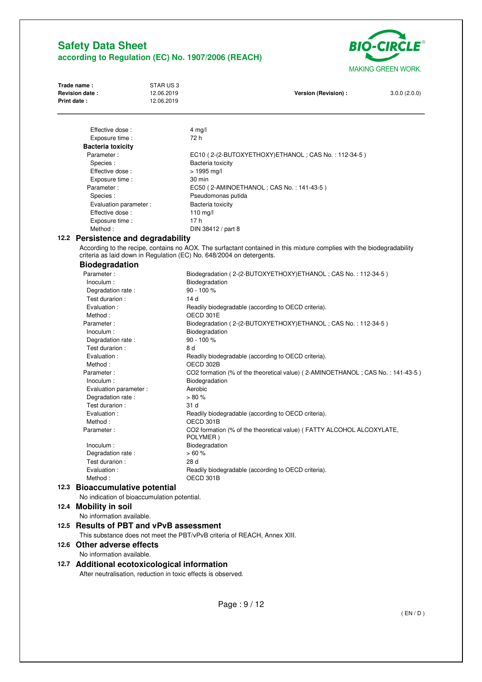

| Print date: | Revision date:                                                                                                                                                                                                                      | 12.06.2019<br>12.06.2019                                      | Version (Revision) :                                                               | 3.0.0(2.0.0) |
|-------------|-------------------------------------------------------------------------------------------------------------------------------------------------------------------------------------------------------------------------------------|---------------------------------------------------------------|------------------------------------------------------------------------------------|--------------|
|             |                                                                                                                                                                                                                                     |                                                               |                                                                                    |              |
|             | Effective dose:                                                                                                                                                                                                                     |                                                               | $4$ mg/l                                                                           |              |
|             | Exposure time :                                                                                                                                                                                                                     |                                                               | 72 h                                                                               |              |
|             | <b>Bacteria toxicity</b>                                                                                                                                                                                                            |                                                               |                                                                                    |              |
|             | Parameter:                                                                                                                                                                                                                          |                                                               | EC10 (2-(2-BUTOXYETHOXY)ETHANOL; CAS No.: 112-34-5)                                |              |
|             | Species:                                                                                                                                                                                                                            |                                                               | Bacteria toxicity                                                                  |              |
|             | Effective dose:                                                                                                                                                                                                                     |                                                               | $> 1995 \text{ mg/l}$                                                              |              |
|             | Exposure time :<br>Parameter:                                                                                                                                                                                                       |                                                               | 30 min                                                                             |              |
|             | Species:                                                                                                                                                                                                                            |                                                               | EC50 (2-AMINOETHANOL; CAS No.: 141-43-5)<br>Pseudomonas putida                     |              |
|             | Evaluation parameter :                                                                                                                                                                                                              |                                                               | Bacteria toxicity                                                                  |              |
|             | Effective dose:                                                                                                                                                                                                                     |                                                               | 110 mg/l                                                                           |              |
|             | Exposure time :                                                                                                                                                                                                                     |                                                               | 17 h                                                                               |              |
|             | Method:                                                                                                                                                                                                                             |                                                               | DIN 38412 / part 8                                                                 |              |
|             |                                                                                                                                                                                                                                     |                                                               |                                                                                    |              |
|             | 12.2 Persistence and degradability<br>According to the recipe, contains no AOX. The surfactant contained in this mixture complies with the biodegradability<br>criteria as laid down in Regulation (EC) No. 648/2004 on detergents. |                                                               |                                                                                    |              |
|             | <b>Biodegradation</b>                                                                                                                                                                                                               |                                                               |                                                                                    |              |
|             | Parameter:                                                                                                                                                                                                                          |                                                               | Biodegradation (2-(2-BUTOXYETHOXY)ETHANOL: CAS No.: 112-34-5)                      |              |
|             | Inoculum :                                                                                                                                                                                                                          |                                                               | Biodegradation                                                                     |              |
|             | Degradation rate:                                                                                                                                                                                                                   |                                                               | $90 - 100 %$                                                                       |              |
|             | Test durarion :                                                                                                                                                                                                                     |                                                               | 14 d                                                                               |              |
|             | Evaluation :                                                                                                                                                                                                                        |                                                               | Readily biodegradable (according to OECD criteria).                                |              |
|             | Method:                                                                                                                                                                                                                             |                                                               | OECD 301E                                                                          |              |
|             | Parameter:                                                                                                                                                                                                                          |                                                               | Biodegradation (2-(2-BUTOXYETHOXY)ETHANOL; CAS No.: 112-34-5)                      |              |
|             | Inoculum :                                                                                                                                                                                                                          |                                                               | Biodegradation                                                                     |              |
|             | Degradation rate:                                                                                                                                                                                                                   |                                                               | $90 - 100 %$                                                                       |              |
|             | Test durarion :                                                                                                                                                                                                                     |                                                               | 8 d                                                                                |              |
|             | Evaluation :                                                                                                                                                                                                                        |                                                               | Readily biodegradable (according to OECD criteria).                                |              |
|             | Method:                                                                                                                                                                                                                             |                                                               | OECD 302B                                                                          |              |
|             | Parameter:                                                                                                                                                                                                                          |                                                               | CO2 formation (% of the theoretical value) (2-AMINOETHANOL; CAS No.: 141-43-5)     |              |
|             | Inoculum :                                                                                                                                                                                                                          |                                                               | Biodegradation                                                                     |              |
|             | Evaluation parameter :                                                                                                                                                                                                              |                                                               | Aerobic                                                                            |              |
|             | Degradation rate:                                                                                                                                                                                                                   |                                                               | > 80%                                                                              |              |
|             | Test durarion :                                                                                                                                                                                                                     |                                                               | 31 d                                                                               |              |
|             | Evaluation :                                                                                                                                                                                                                        |                                                               | Readily biodegradable (according to OECD criteria).                                |              |
|             | Method:<br>Parameter:                                                                                                                                                                                                               |                                                               | OECD 301B<br>CO2 formation (% of the theoretical value) (FATTY ALCOHOL ALCOXYLATE, |              |
|             |                                                                                                                                                                                                                                     |                                                               | POLYMER)                                                                           |              |
|             | Inoculum :                                                                                                                                                                                                                          |                                                               | Biodegradation                                                                     |              |
|             | Degradation rate:                                                                                                                                                                                                                   |                                                               | >60%                                                                               |              |
|             | Test durarion :                                                                                                                                                                                                                     |                                                               | 28 d                                                                               |              |
|             | Evaluation :                                                                                                                                                                                                                        |                                                               | Readily biodegradable (according to OECD criteria).                                |              |
|             | Method:                                                                                                                                                                                                                             |                                                               | OECD 301B                                                                          |              |
|             | 12.3 Bioaccumulative potential                                                                                                                                                                                                      |                                                               |                                                                                    |              |
|             | No indication of bioaccumulation potential.                                                                                                                                                                                         |                                                               |                                                                                    |              |
|             | 12.4 Mobility in soil                                                                                                                                                                                                               |                                                               |                                                                                    |              |
|             | No information available.                                                                                                                                                                                                           |                                                               |                                                                                    |              |
|             | 12.5 Results of PBT and vPvB assessment                                                                                                                                                                                             |                                                               |                                                                                    |              |
|             |                                                                                                                                                                                                                                     |                                                               |                                                                                    |              |
|             |                                                                                                                                                                                                                                     |                                                               | This substance does not meet the PBT/vPvB criteria of REACH, Annex XIII.           |              |
|             | 12.6 Other adverse effects                                                                                                                                                                                                          |                                                               |                                                                                    |              |
|             | No information available.                                                                                                                                                                                                           |                                                               |                                                                                    |              |
|             | 12.7 Additional ecotoxicological information                                                                                                                                                                                        |                                                               |                                                                                    |              |
|             |                                                                                                                                                                                                                                     | After neutralisation, reduction in toxic effects is observed. |                                                                                    |              |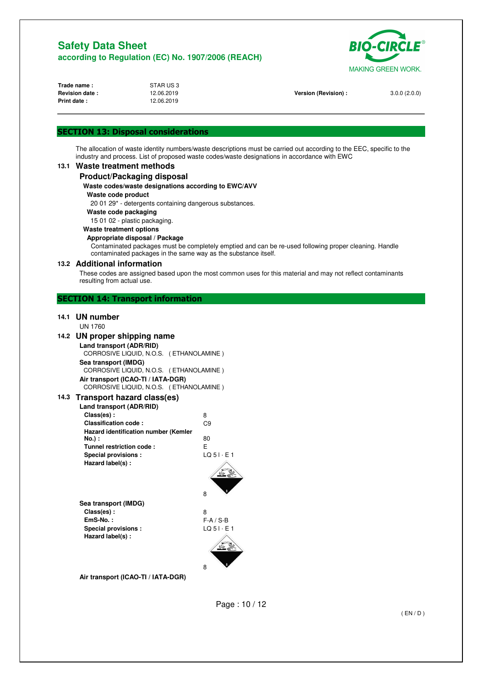

| Trade name:           | STAR US3   |                      |              |
|-----------------------|------------|----------------------|--------------|
| <b>Revision date:</b> | 12.06.2019 | Version (Revision) : | 3.0.0(2.0.0) |
| <b>Print date:</b>    | 12.06.2019 |                      |              |
|                       |            |                      |              |
|                       |            |                      |              |

## **SECTION 13: Disposal considerations**

The allocation of waste identity numbers/waste descriptions must be carried out according to the EEC, specific to the industry and process. List of proposed waste codes/waste designations in accordance with EWC

### **13.1 Waste treatment methods**

#### **Product/Packaging disposal**

#### **Waste codes/waste designations according to EWC/AVV**

#### **Waste code product**

20 01 29\* - detergents containing dangerous substances.

**Waste code packaging** 

15 01 02 - plastic packaging.

#### **Waste treatment options**

#### **Appropriate disposal / Package**

Contaminated packages must be completely emptied and can be re-used following proper cleaning. Handle contaminated packages in the same way as the substance itself.

#### **13.2 Additional information**

These codes are assigned based upon the most common uses for this material and may not reflect contaminants resulting from actual use.

## **SECTION 14: Transport information**

## **14.1 UN number**

### UN 1760

#### **14.2 UN proper shipping name**

| Land transport (ADR/RID)                |  |  |
|-----------------------------------------|--|--|
| CORROSIVE LIQUID, N.O.S. (ETHANOLAMINE) |  |  |
| Sea transport (IMDG)                    |  |  |
| CORROSIVE LIQUID, N.O.S. (ETHANOLAMINE) |  |  |
| Air transport (ICAO-TI / IATA-DGR)      |  |  |
| CORROSIVE LIQUID, N.O.S. (ETHANOLAMINE) |  |  |
| 3 Transport hazard class(es)            |  |  |

## **14.3 Transport hazard class(es)**

| Land transport (ADR/RID)                    |                      |
|---------------------------------------------|----------------------|
| Class(es):                                  | 8                    |
| Classification code:                        | C9                   |
| <b>Hazard identification number (Kemler</b> |                      |
| No.) :                                      | 80                   |
| Tunnel restriction code:                    | F                    |
| Special provisions:                         | $LO$ 5 $I \cdot E$ 1 |
| Hazard label(s):                            |                      |
|                                             |                      |
|                                             |                      |
|                                             |                      |

**Sea transport (IMDG) Class(es) :** 8 **EmS-No. :** F-A / S-B<br> **Special provisions :** LQ 51 · E 1 **Special provisions : Hazard label(s) :** 



**Air transport (ICAO-TI / IATA-DGR)** 

Page : 10 / 12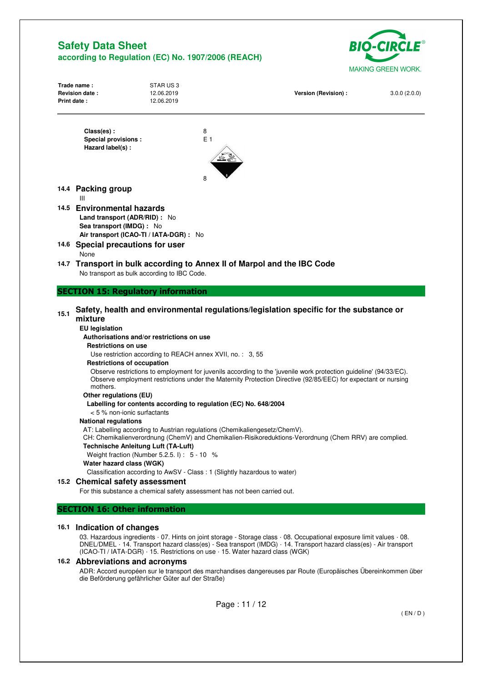

| Print date:                                                                                                                                                             | STAR US3<br>12.06.2019<br>12.06.2019                                                                                                                                                                                                                                                                                                                                                                                                                                                                                                                                                                                     | Version (Revision) :                                                                                                                                                                                                                                                                                                                                                                                                                   | 3.0.0(2.0.0) |
|-------------------------------------------------------------------------------------------------------------------------------------------------------------------------|--------------------------------------------------------------------------------------------------------------------------------------------------------------------------------------------------------------------------------------------------------------------------------------------------------------------------------------------------------------------------------------------------------------------------------------------------------------------------------------------------------------------------------------------------------------------------------------------------------------------------|----------------------------------------------------------------------------------------------------------------------------------------------------------------------------------------------------------------------------------------------------------------------------------------------------------------------------------------------------------------------------------------------------------------------------------------|--------------|
| Class(es):<br><b>Special provisions:</b><br>Hazard label(s):                                                                                                            | 8<br>E <sub>1</sub><br>8                                                                                                                                                                                                                                                                                                                                                                                                                                                                                                                                                                                                 |                                                                                                                                                                                                                                                                                                                                                                                                                                        |              |
| 14.4 Packing group                                                                                                                                                      |                                                                                                                                                                                                                                                                                                                                                                                                                                                                                                                                                                                                                          |                                                                                                                                                                                                                                                                                                                                                                                                                                        |              |
| Ш<br>14.5 Environmental hazards<br>Sea transport (IMDG) : No                                                                                                            | Land transport (ADR/RID) : No<br>Air transport (ICAO-TI / IATA-DGR) : No                                                                                                                                                                                                                                                                                                                                                                                                                                                                                                                                                 |                                                                                                                                                                                                                                                                                                                                                                                                                                        |              |
| 14.6 Special precautions for user                                                                                                                                       |                                                                                                                                                                                                                                                                                                                                                                                                                                                                                                                                                                                                                          |                                                                                                                                                                                                                                                                                                                                                                                                                                        |              |
| None                                                                                                                                                                    | No transport as bulk according to IBC Code.                                                                                                                                                                                                                                                                                                                                                                                                                                                                                                                                                                              | 14.7 Transport in bulk according to Annex II of Marpol and the IBC Code                                                                                                                                                                                                                                                                                                                                                                |              |
|                                                                                                                                                                         | <b>SECTION 15: Regulatory information</b>                                                                                                                                                                                                                                                                                                                                                                                                                                                                                                                                                                                |                                                                                                                                                                                                                                                                                                                                                                                                                                        |              |
| 15.1<br>mixture<br><b>EU</b> legislation<br><b>Restrictions on use</b><br>mothers.<br>Other regulations (EU)<br><b>National regulations</b><br>Water hazard class (WGK) | Authorisations and/or restrictions on use<br>Use restriction according to REACH annex XVII, no.: 3, 55<br><b>Restrictions of occupation</b><br>Labelling for contents according to regulation (EC) No. 648/2004<br>< 5 % non-ionic surfactants<br>AT: Labelling according to Austrian regulations (Chemikaliengesetz/ChemV).<br><b>Technische Anleitung Luft (TA-Luft)</b><br>Weight fraction (Number 5.2.5.1) : $5 - 10$ %<br>Classification according to AwSV - Class: 1 (Slightly hazardous to water)<br>15.2 Chemical safety assessment<br>For this substance a chemical safety assessment has not been carried out. | Safety, health and environmental regulations/legislation specific for the substance or<br>Observe restrictions to employment for juvenils according to the 'juvenile work protection guideline' (94/33/EC).<br>Observe employment restrictions under the Maternity Protection Directive (92/85/EEC) for expectant or nursing<br>CH: Chemikalienverordnung (ChemV) and Chemikalien-Risikoreduktions-Verordnung (Chem RRV) are complied. |              |
|                                                                                                                                                                         |                                                                                                                                                                                                                                                                                                                                                                                                                                                                                                                                                                                                                          |                                                                                                                                                                                                                                                                                                                                                                                                                                        |              |
|                                                                                                                                                                         |                                                                                                                                                                                                                                                                                                                                                                                                                                                                                                                                                                                                                          |                                                                                                                                                                                                                                                                                                                                                                                                                                        |              |
|                                                                                                                                                                         | (ICAO-TI / IATA-DGR) · 15. Restrictions on use · 15. Water hazard class (WGK)<br>die Beförderung gefährlicher Güter auf der Straße)                                                                                                                                                                                                                                                                                                                                                                                                                                                                                      | 03. Hazardous ingredients · 07. Hints on joint storage - Storage class · 08. Occupational exposure limit values · 08.<br>DNEL/DMEL · 14. Transport hazard class(es) - Sea transport (IMDG) · 14. Transport hazard class(es) - Air transport<br>ADR: Accord européen sur le transport des marchandises dangereuses par Route (Europäisches Übereinkommen über                                                                           |              |
| <b>SECTION 16: Other information</b><br>16.1 Indication of changes<br>16.2 Abbreviations and acronyms                                                                   |                                                                                                                                                                                                                                                                                                                                                                                                                                                                                                                                                                                                                          | Page: 11 / 12                                                                                                                                                                                                                                                                                                                                                                                                                          |              |